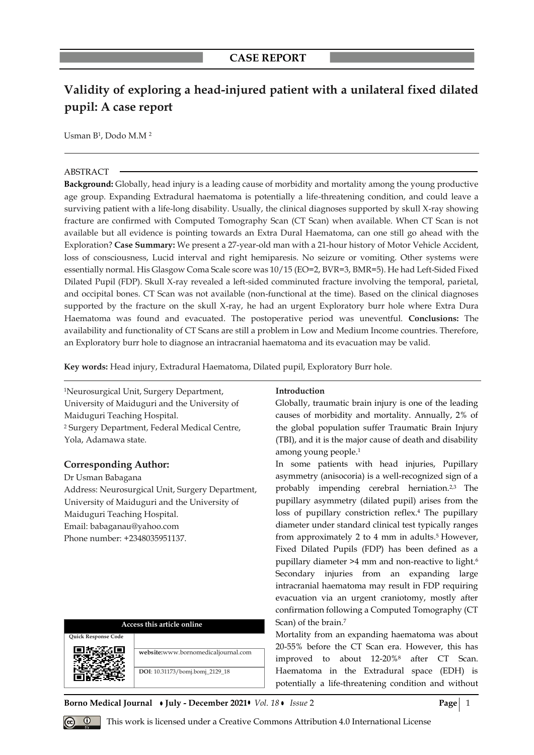# **Validity of exploring a head-injured patient with a unilateral fixed dilated pupil: A case report**

Usman B<sup>1</sup>, Dodo M.M<sup>2</sup>

#### ABSTRACT

**Background:** Globally, head injury is a leading cause of morbidity and mortality among the young productive age group. Expanding Extradural haematoma is potentially a life-threatening condition, and could leave a surviving patient with a life-long disability. Usually, the clinical diagnoses supported by skull X-ray showing fracture are confirmed with Computed Tomography Scan (CT Scan) when available. When CT Scan is not available but all evidence is pointing towards an Extra Dural Haematoma, can one still go ahead with the Exploration? **Case Summary:** We present a 27-year-old man with a 21-hour history of Motor Vehicle Accident, loss of consciousness, Lucid interval and right hemiparesis. No seizure or vomiting. Other systems were essentially normal. His Glasgow Coma Scale score was 10/15 (EO=2, BVR=3, BMR=5). He had Left-Sided Fixed Dilated Pupil (FDP). Skull X-ray revealed a left-sided comminuted fracture involving the temporal, parietal, and occipital bones. CT Scan was not available (non-functional at the time). Based on the clinical diagnoses supported by the fracture on the skull X-ray, he had an urgent Exploratory burr hole where Extra Dura Haematoma was found and evacuated. The postoperative period was uneventful. **Conclusions:** The availability and functionality of CT Scans are still a problem in Low and Medium Income countries. Therefore, an Exploratory burr hole to diagnose an intracranial haematoma and its evacuation may be valid.

**Key words:** Head injury, Extradural Haematoma, Dilated pupil, Exploratory Burr hole.

<sup>1</sup>Neurosurgical Unit, Surgery Department, University of Maiduguri and the University of Maiduguri Teaching Hospital. <sup>2</sup> Surgery Department, Federal Medical Centre, Yola, Adamawa state.

# **Corresponding Author:**

Dr Usman Babagana Address: Neurosurgical Unit, Surgery Department, University of Maiduguri and the University of Maiduguri Teaching Hospital. Email: babaganau@yahoo.com Phone number: +2348035951137.

| Access this article online |                                     |
|----------------------------|-------------------------------------|
| <b>Ouick Response Code</b> |                                     |
|                            | website:www.bornomedicaljournal.com |
|                            | DOI: 10.31173/bomj.bomj_2129_18     |

# **Introduction**

Globally, traumatic brain injury is one of the leading causes of morbidity and mortality. Annually, 2% of the global population suffer Traumatic Brain Injury (TBI), and it is the major cause of death and disability among young people. 1

In some patients with head injuries, Pupillary asymmetry (anisocoria) is a well-recognized sign of a probably impending cerebral herniation.2,3 The pupillary asymmetry (dilated pupil) arises from the loss of pupillary constriction reflex.<sup>4</sup> The pupillary diameter under standard clinical test typically ranges from approximately 2 to 4 mm in adults.<sup>5</sup> However, Fixed Dilated Pupils (FDP) has been defined as a pupillary diameter >4 mm and non-reactive to light.<sup>6</sup> Secondary injuries from an expanding large intracranial haematoma may result in FDP requiring evacuation via an urgent craniotomy, mostly after confirmation following a Computed Tomography (CT Scan) of the brain.<sup>7</sup>

Mortality from an expanding haematoma was about 20-55% before the CT Scan era. However, this has improved to about 12-20%<sup>8</sup> after CT Scan. Haematoma in the Extradural space (EDH) is potentially a life-threatening condition and without

#### **Borno Medical Journal • July - December 2021•** *Vol. 18* **Issue 2 Page** 1

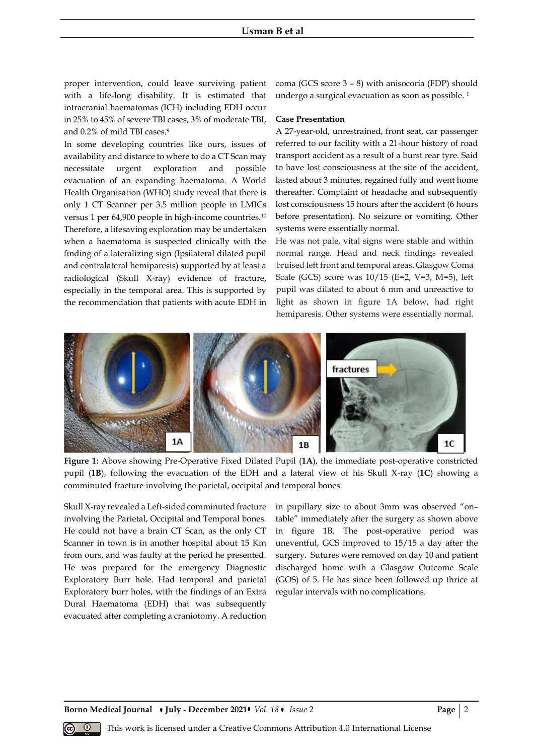proper intervention, could leave surviving patient with a life-long disability. It is estimated that intracranial haematomas (ICH) including EDH occur in 25% to 45% of severe TBI cases, 3% of moderate TBI, and 0.2% of mild TBI cases.<sup>9</sup>

In some developing countries like ours, issues of availability and distance to where to do a CT Scan may necessitate urgent exploration and possible evacuation of an expanding haematoma. A World Health Organisation (WHO) study reveal that there is only 1 CT Scanner per 3.5 million people in LMICs versus 1 per 64,900 people in high-income countries.<sup>10</sup> Therefore, a lifesaving exploration may be undertaken when a haematoma is suspected clinically with the finding of a lateralizing sign (Ipsilateral dilated pupil and contralateral hemiparesis) supported by at least a radiological (Skull X-ray) evidence of fracture, especially in the temporal area. This is supported by the recommendation that patients with acute EDH in coma (GCS score 3 – 8) with anisocoria (FDP) should undergo a surgical evacuation as soon as possible.<sup>1</sup>

#### **Case Presentation**

A 27-year-old, unrestrained, front seat, car passenger referred to our facility with a 21-hour history of road transport accident as a result of a burst rear tyre. Said to have lost consciousness at the site of the accident, lasted about 3 minutes, regained fully and went home thereafter. Complaint of headache and subsequently lost consciousness 15 hours after the accident (6 hours before presentation). No seizure or vomiting. Other systems were essentially normal.

He was not pale, vital signs were stable and within normal range. Head and neck findings revealed bruised left front and temporal areas. Glasgow Coma Scale (GCS) score was 10/15 (E=2, V=3, M=5), left pupil was dilated to about 6 mm and unreactive to light as shown in figure 1A below, had right hemiparesis. Other systems were essentially normal.



**Figure 1:** Above showing Pre-Operative Fixed Dilated Pupil (**1A**), the immediate post-operative constricted pupil (**1B**), following the evacuation of the EDH and a lateral view of his Skull X-ray (**1C**) showing a comminuted fracture involving the parietal, occipital and temporal bones.

Skull X-ray revealed a Left-sided comminuted fracture involving the Parietal, Occipital and Temporal bones. He could not have a brain CT Scan, as the only CT Scanner in town is in another hospital about 15 Km from ours, and was faulty at the period he presented. He was prepared for the emergency Diagnostic Exploratory Burr hole. Had temporal and parietal Exploratory burr holes, with the findings of an Extra Dural Haematoma (EDH) that was subsequently evacuated after completing a craniotomy. A reduction

in pupillary size to about 3mm was observed "on– table" immediately after the surgery as shown above in figure 1B. The post-operative period was uneventful, GCS improved to 15/15 a day after the surgery. Sutures were removed on day 10 and patient discharged home with a Glasgow Outcome Scale (GOS) of 5. He has since been followed up thrice at regular intervals with no complications.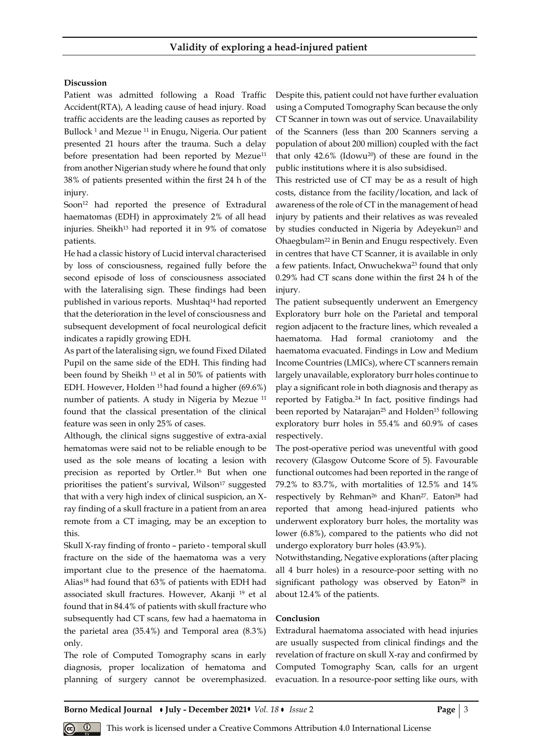### **Discussion**

Patient was admitted following a Road Traffic Accident(RTA), A leading cause of head injury. Road traffic accidents are the leading causes as reported by Bullock<sup>1</sup> and Mezue<sup>11</sup> in Enugu, Nigeria. Our patient presented 21 hours after the trauma. Such a delay before presentation had been reported by Mezue<sup>11</sup> from another Nigerian study where he found that only 38% of patients presented within the first 24 h of the injury.

Soon<sup>12</sup> had reported the presence of Extradural haematomas (EDH) in approximately 2% of all head injuries. Sheikh<sup>13</sup> had reported it in 9% of comatose patients.

He had a classic history of Lucid interval characterised by loss of consciousness, regained fully before the second episode of loss of consciousness associated with the lateralising sign. These findings had been published in various reports. Mushtaq<sup>14</sup> had reported that the deterioration in the level of consciousness and subsequent development of focal neurological deficit indicates a rapidly growing EDH.

As part of the lateralising sign, we found Fixed Dilated Pupil on the same side of the EDH. This finding had been found by Sheikh <sup>13</sup> et al in 50% of patients with EDH. However, Holden 15 had found a higher (69.6%) number of patients. A study in Nigeria by Mezue <sup>11</sup> found that the classical presentation of the clinical feature was seen in only 25% of cases.

Although, the clinical signs suggestive of extra-axial hematomas were said not to be reliable enough to be used as the sole means of locating a lesion with precision as reported by Ortler.<sup>16</sup> But when one prioritises the patient's survival, Wilson<sup>17</sup> suggested that with a very high index of clinical suspicion, an Xray finding of a skull fracture in a patient from an area remote from a CT imaging, may be an exception to this.

Skull X-ray finding of fronto – parieto - temporal skull fracture on the side of the haematoma was a very important clue to the presence of the haematoma. Alias<sup>18</sup> had found that 63% of patients with EDH had associated skull fractures. However, Akanji <sup>19</sup> et al found that in 84.4% of patients with skull fracture who subsequently had CT scans, few had a haematoma in the parietal area (35.4%) and Temporal area (8.3%) only.

The role of Computed Tomography scans in early diagnosis, proper localization of hematoma and planning of surgery cannot be overemphasized. Despite this, patient could not have further evaluation using a Computed Tomography Scan because the only CT Scanner in town was out of service. Unavailability of the Scanners (less than 200 Scanners serving a population of about 200 million) coupled with the fact that only 42.6% (Idowu20) of these are found in the public institutions where it is also subsidised.

This restricted use of CT may be as a result of high costs, distance from the facility/location, and lack of awareness of the role of CT in the management of head injury by patients and their relatives as was revealed by studies conducted in Nigeria by Adeyekun<sup>21</sup> and Ohaegbulam<sup>22</sup> in Benin and Enugu respectively. Even in centres that have CT Scanner, it is available in only a few patients. Infact, Onwuchekwa<sup>23</sup> found that only 0.29% had CT scans done within the first 24 h of the injury.

The patient subsequently underwent an Emergency Exploratory burr hole on the Parietal and temporal region adjacent to the fracture lines, which revealed a haematoma. Had formal craniotomy and the haematoma evacuated. Findings in Low and Medium Income Countries (LMICs), where CT scanners remain largely unavailable, exploratory burr holes continue to play a significant role in both diagnosis and therapy as reported by Fatigba.<sup>24</sup> In fact, positive findings had been reported by Natarajan<sup>25</sup> and Holden<sup>15</sup> following exploratory burr holes in 55.4% and 60.9% of cases respectively.

The post-operative period was uneventful with good recovery (Glasgow Outcome Score of 5). Favourable functional outcomes had been reported in the range of 79.2% to 83.7%, with mortalities of 12.5% and 14% respectively by Rehman<sup>26</sup> and Khan<sup>27</sup>. Eaton<sup>28</sup> had reported that among head-injured patients who underwent exploratory burr holes, the mortality was lower (6.8%), compared to the patients who did not undergo exploratory burr holes (43.9%).

Notwithstanding, Negative explorations (after placing all 4 burr holes) in a resource-poor setting with no significant pathology was observed by Eaton<sup>28</sup> in about 12.4% of the patients.

#### **Conclusion**

Extradural haematoma associated with head injuries are usually suspected from clinical findings and the revelation of fracture on skull X-ray and confirmed by Computed Tomography Scan, calls for an urgent evacuation. In a resource-poor setting like ours, with

**Borno Medical Journal • July - December 2021 •** *Vol.* 18 • *Issue* 2 **Page** | 3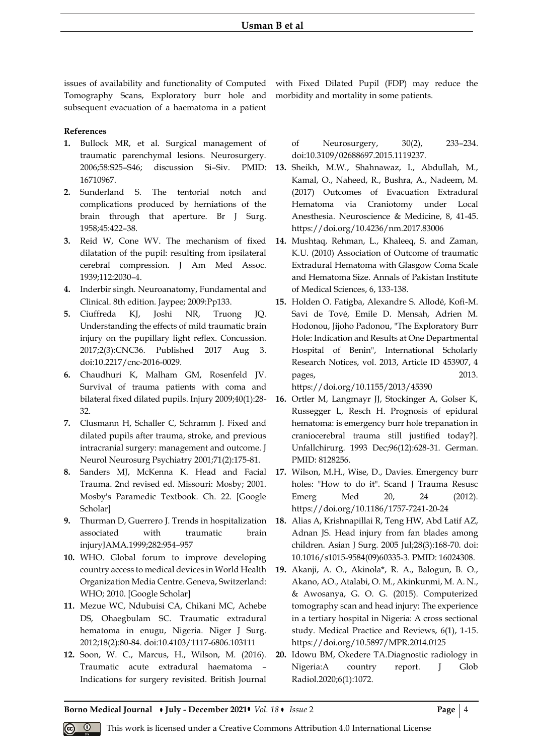issues of availability and functionality of Computed Tomography Scans, Exploratory burr hole and subsequent evacuation of a haematoma in a patient

## **References**

- **1.** Bullock MR, et al. Surgical management of traumatic parenchymal lesions. Neurosurgery. 2006;58:S25–S46; discussion Si–Siv. PMID: 16710967.
- **2.** Sunderland S. The tentorial notch and complications produced by herniations of the brain through that aperture. Br J Surg. 1958;45:422–38.
- **3.** Reid W, Cone WV. The mechanism of fixed dilatation of the pupil: resulting from ipsilateral cerebral compression. J Am Med Assoc. 1939;112:2030–4.
- **4.** Inderbir singh. Neuroanatomy, Fundamental and Clinical. 8th edition. Jaypee; 2009:Pp133.
- **5.** Ciuffreda KJ, Joshi NR, Truong JQ. Understanding the effects of mild traumatic brain injury on the pupillary light reflex. Concussion. 2017;2(3):CNC36. Published 2017 Aug 3. doi:10.2217/cnc-2016-0029.
- **6.** Chaudhuri K, Malham GM, Rosenfeld JV. Survival of trauma patients with coma and bilateral fixed dilated pupils. Injury 2009;40(1):28- 32.
- **7.** Clusmann H, Schaller C, Schramm J. Fixed and dilated pupils after trauma, stroke, and previous intracranial surgery: management and outcome. J Neurol Neurosurg Psychiatry 2001;71(2):175-81.
- **8.** Sanders MJ, McKenna K. Head and Facial Trauma. 2nd revised ed. Missouri: Mosby; 2001. Mosby's Paramedic Textbook. Ch. 22. [Google Scholar]
- **9.** Thurman D, Guerrero J. Trends in hospitalization associated with traumatic brain injuryJAMA.1999;282:954–957
- **10.** WHO. Global forum to improve developing country access to medical devices in World Health Organization Media Centre. Geneva, Switzerland: WHO; 2010. [Google Scholar]
- **11.** Mezue WC, Ndubuisi CA, Chikani MC, Achebe DS, Ohaegbulam SC. Traumatic extradural hematoma in enugu, Nigeria. Niger J Surg. 2012;18(2):80-84. doi:10.4103/1117-6806.103111
- **12.** Soon, W. C., Marcus, H., Wilson, M. (2016). Traumatic acute extradural haematoma – Indications for surgery revisited. British Journal

with Fixed Dilated Pupil (FDP) may reduce the morbidity and mortality in some patients.

of Neurosurgery, 30(2), 233–234. doi:10.3109/02688697.2015.1119237.

- **13.** Sheikh, M.W., Shahnawaz, I., Abdullah, M., Kamal, O., Naheed, R., Bushra, A., Nadeem, M. (2017) Outcomes of Evacuation Extradural Hematoma via Craniotomy under Local Anesthesia. Neuroscience & Medicine, 8, 41-45. https://doi.org/10.4236/nm.2017.83006
- **14.** Mushtaq, Rehman, L., Khaleeq, S. and Zaman, K.U. (2010) Association of Outcome of traumatic Extradural Hematoma with Glasgow Coma Scale and Hematoma Size. Annals of Pakistan Institute of Medical Sciences, 6, 133-138.
- **15.** Holden O. Fatigba, Alexandre S. Allodé, Kofi-M. Savi de Tové, Emile D. Mensah, Adrien M. Hodonou, Jijoho Padonou, "The Exploratory Burr Hole: Indication and Results at One Departmental Hospital of Benin", International Scholarly Research Notices, vol. 2013, Article ID 453907, 4 pages, 2013.

https://doi.org/10.1155/2013/45390

- **16.** Ortler M, Langmayr JJ, Stockinger A, Golser K, Russegger L, Resch H. Prognosis of epidural hematoma: is emergency burr hole trepanation in craniocerebral trauma still justified today?]. Unfallchirurg. 1993 Dec;96(12):628-31. German. PMID: 8128256.
- **17.** Wilson, M.H., Wise, D., Davies. Emergency burr holes: "How to do it". Scand J Trauma Resusc Emerg Med 20, 24 (2012). https://doi.org/10.1186/1757-7241-20-24
- **18.** Alias A, Krishnapillai R, Teng HW, Abd Latif AZ, Adnan JS. Head injury from fan blades among children. Asian J Surg. 2005 Jul;28(3):168-70. doi: 10.1016/s1015-9584(09)60335-3. PMID: 16024308.
- **19.** Akanji, A. O., Akinola\*, R. A., Balogun, B. O., Akano, AO., Atalabi, O. M., Akinkunmi, M. A. N., & Awosanya, G. O. G. (2015). Computerized tomography scan and head injury: The experience in a tertiary hospital in Nigeria: A cross sectional study. Medical Practice and Reviews, 6(1), 1-15. https://doi.org/10.5897/MPR.2014.0125
- **20.** Idowu BM, Okedere TA.Diagnostic radiology in Nigeria:A country report. J Glob Radiol.2020;6(1):1072.

**Borno Medical Journal • July - December 2021 •** *Vol.* 18 • *Issue* 2 **Page**  $\begin{bmatrix} 4 \end{bmatrix}$ 

This work is licensed under a Creative Commons Attribution 4.0 International License